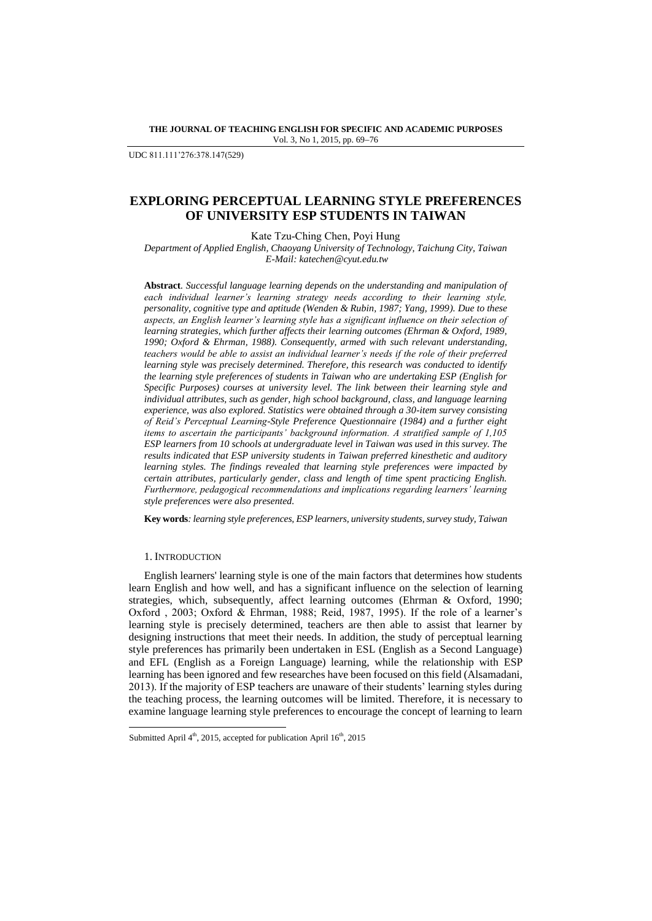**THE JOURNAL OF TEACHING ENGLISH FOR SPECIFIC AND ACADEMIC PURPOSES** Vol. 3, No 1, 2015, pp. 69-76

UDC 811.111'276:378.147(529)

# **EXPLORING PERCEPTUAL LEARNING STYLE PREFERENCES OF UNIVERSITY ESP STUDENTS IN TAIWAN**

Kate Tzu-Ching Chen, Poyi Hung

*Department of Applied English, Chaoyang University of Technology, Taichung City, Taiwan E-Mail: katechen@cyut.edu.tw*

**Abstract***. Successful language learning depends on the understanding and manipulation of each individual learner's learning strategy needs according to their learning style, personality, cognitive type and aptitude (Wenden & Rubin, 1987; Yang, 1999). Due to these aspects, an English learner's learning style has a significant influence on their selection of learning strategies, which further affects their learning outcomes (Ehrman & Oxford, 1989, 1990; Oxford & Ehrman, 1988). Consequently, armed with such relevant understanding, teachers would be able to assist an individual learner's needs if the role of their preferred learning style was precisely determined. Therefore, this research was conducted to identify the learning style preferences of students in Taiwan who are undertaking ESP (English for Specific Purposes) courses at university level. The link between their learning style and individual attributes, such as gender, high school background, class, and language learning experience, was also explored. Statistics were obtained through a 30-item survey consisting of Reid's Perceptual Learning-Style Preference Questionnaire (1984) and a further eight items to ascertain the participants' background information. A stratified sample of 1,105 ESP learners from 10 schools at undergraduate level in Taiwan was used in this survey. The results indicated that ESP university students in Taiwan preferred kinesthetic and auditory learning styles. The findings revealed that learning style preferences were impacted by certain attributes, particularly gender, class and length of time spent practicing English. Furthermore, pedagogical recommendations and implications regarding learners' learning style preferences were also presented.*

**Key words***: learning style preferences, ESP learners, university students, survey study, Taiwan*

## 1. INTRODUCTION

l

English learners' learning style is one of the main factors that determines how students learn English and how well, and has a significant influence on the selection of learning strategies, which, subsequently, affect learning outcomes (Ehrman & Oxford, 1990; Oxford , 2003; Oxford & Ehrman, 1988; Reid, 1987, 1995). If the role of a learner's learning style is precisely determined, teachers are then able to assist that learner by designing instructions that meet their needs. In addition, the study of perceptual learning style preferences has primarily been undertaken in ESL (English as a Second Language) and EFL (English as a Foreign Language) learning, while the relationship with ESP learning has been ignored and few researches have been focused on this field (Alsamadani, 2013). If the majority of ESP teachers are unaware of their students' learning styles during the teaching process, the learning outcomes will be limited. Therefore, it is necessary to examine language learning style preferences to encourage the concept of learning to learn

Submitted April  $4<sup>th</sup>$ , 2015, accepted for publication April  $16<sup>th</sup>$ , 2015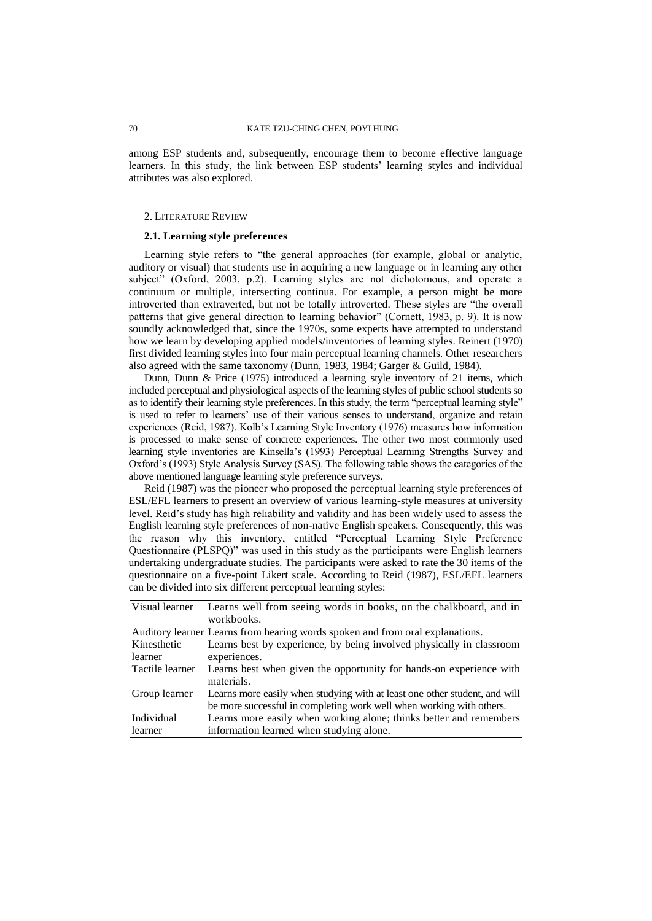among ESP students and, subsequently, encourage them to become effective language learners. In this study, the link between ESP students' learning styles and individual attributes was also explored.

#### 2. LITERATURE REVIEW

# **2.1. Learning style preferences**

Learning style refers to "the general approaches (for example, global or analytic, auditory or visual) that students use in acquiring a new language or in learning any other subject" (Oxford, 2003, p.2). Learning styles are not dichotomous, and operate a continuum or multiple, intersecting continua. For example, a person might be more introverted than extraverted, but not be totally introverted. These styles are "the overall patterns that give general direction to learning behavior" (Cornett, 1983, p. 9). It is now soundly acknowledged that, since the 1970s, some experts have attempted to understand how we learn by developing applied models/inventories of learning styles. Reinert (1970) first divided learning styles into four main perceptual learning channels. Other researchers also agreed with the same taxonomy (Dunn, 1983, 1984; Garger & Guild, 1984).

Dunn, Dunn & Price (1975) introduced a learning style inventory of 21 items, which included perceptual and physiological aspects of the learning styles of public school students so as to identify their learning style preferences. In this study, the term "perceptual learning style" is used to refer to learners' use of their various senses to understand, organize and retain experiences (Reid, 1987). Kolb's Learning Style Inventory (1976) measures how information is processed to make sense of concrete experiences. The other two most commonly used learning style inventories are Kinsella's (1993) Perceptual Learning Strengths Survey and Oxford's (1993) Style Analysis Survey (SAS). The following table shows the categories of the above mentioned language learning style preference surveys.

Reid (1987) was the pioneer who proposed the perceptual learning style preferences of ESL/EFL learners to present an overview of various learning-style measures at university level. Reid's study has high reliability and validity and has been widely used to assess the English learning style preferences of non-native English speakers. Consequently, this was the reason why this inventory, entitled "Perceptual Learning Style Preference Questionnaire (PLSPQ)" was used in this study as the participants were English learners undertaking undergraduate studies. The participants were asked to rate the 30 items of the questionnaire on a five-point Likert scale. According to Reid (1987), ESL/EFL learners can be divided into six different perceptual learning styles:

| Visual learner  | Learns well from seeing words in books, on the chalkboard, and in                                                                                  |
|-----------------|----------------------------------------------------------------------------------------------------------------------------------------------------|
|                 | workbooks.                                                                                                                                         |
|                 | Auditory learner Learns from hearing words spoken and from oral explanations.                                                                      |
| Kinesthetic     | Learns best by experience, by being involved physically in classroom                                                                               |
| learner         | experiences.                                                                                                                                       |
| Tactile learner | Learns best when given the opportunity for hands-on experience with<br>materials.                                                                  |
| Group learner   | Learns more easily when studying with at least one other student, and will<br>be more successful in completing work well when working with others. |
| Individual      | Learns more easily when working alone; thinks better and remembers                                                                                 |
| learner         | information learned when studying alone.                                                                                                           |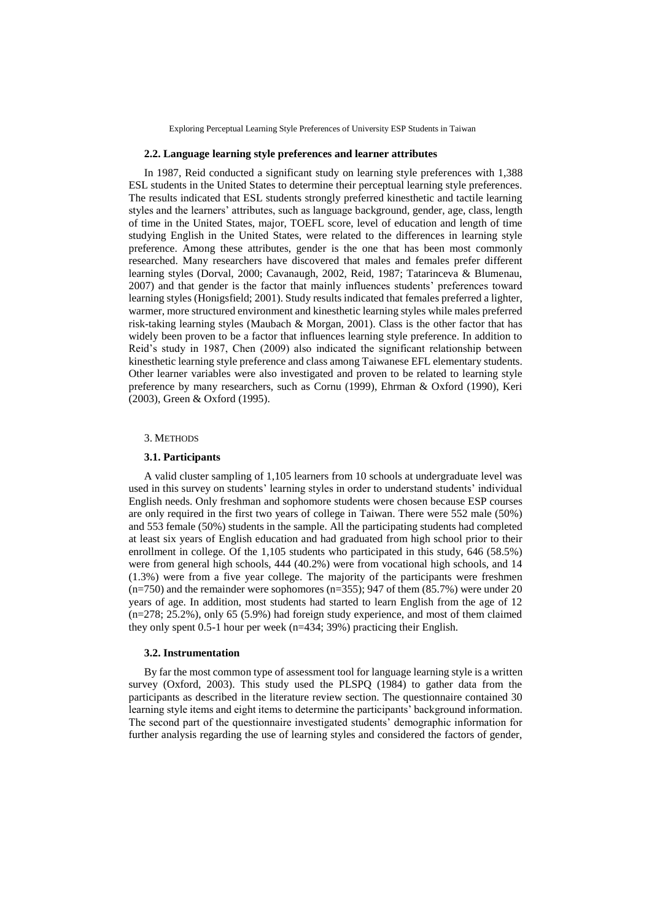Exploring Perceptual Learning Style Preferences of University ESP Students in Taiwan

# **2.2. Language learning style preferences and learner attributes**

In 1987, Reid conducted a significant study on learning style preferences with 1,388 ESL students in the United States to determine their perceptual learning style preferences. The results indicated that ESL students strongly preferred kinesthetic and tactile learning styles and the learners' attributes, such as language background, gender, age, class, length of time in the United States, major, TOEFL score, level of education and length of time studying English in the United States, were related to the differences in learning style preference. Among these attributes, gender is the one that has been most commonly researched. Many researchers have discovered that males and females prefer different learning styles (Dorval, 2000; Cavanaugh, 2002, Reid, 1987; Tatarinceva & Blumenau, 2007) and that gender is the factor that mainly influences students' preferences toward learning styles (Honigsfield; 2001). Study results indicated that females preferred a lighter, warmer, more structured environment and kinesthetic learning styles while males preferred risk-taking learning styles (Maubach & Morgan, 2001). Class is the other factor that has widely been proven to be a factor that influences learning style preference. In addition to Reid's study in 1987, Chen (2009) also indicated the significant relationship between kinesthetic learning style preference and class among Taiwanese EFL elementary students. Other learner variables were also investigated and proven to be related to learning style preference by many researchers, such as Cornu (1999), Ehrman & Oxford (1990), Keri (2003), Green & Oxford (1995).

#### 3. METHODS

#### **3.1. Participants**

A valid cluster sampling of 1,105 learners from 10 schools at undergraduate level was used in this survey on students' learning styles in order to understand students' individual English needs. Only freshman and sophomore students were chosen because ESP courses are only required in the first two years of college in Taiwan. There were 552 male (50%) and 553 female (50%) students in the sample. All the participating students had completed at least six years of English education and had graduated from high school prior to their enrollment in college. Of the 1,105 students who participated in this study, 646 (58.5%) were from general high schools, 444 (40.2%) were from vocational high schools, and 14 (1.3%) were from a five year college. The majority of the participants were freshmen  $(n=750)$  and the remainder were sophomores  $(n=355)$ ; 947 of them  $(85.7%)$  were under 20 years of age. In addition, most students had started to learn English from the age of 12 (n=278; 25.2%), only 65 (5.9%) had foreign study experience, and most of them claimed they only spent 0.5-1 hour per week (n=434; 39%) practicing their English.

# **3.2. Instrumentation**

By far the most common type of assessment tool for language learning style is a written survey (Oxford, 2003). This study used the PLSPQ (1984) to gather data from the participants as described in the literature review section. The questionnaire contained 30 learning style items and eight items to determine the participants' background information. The second part of the questionnaire investigated students' demographic information for further analysis regarding the use of learning styles and considered the factors of gender,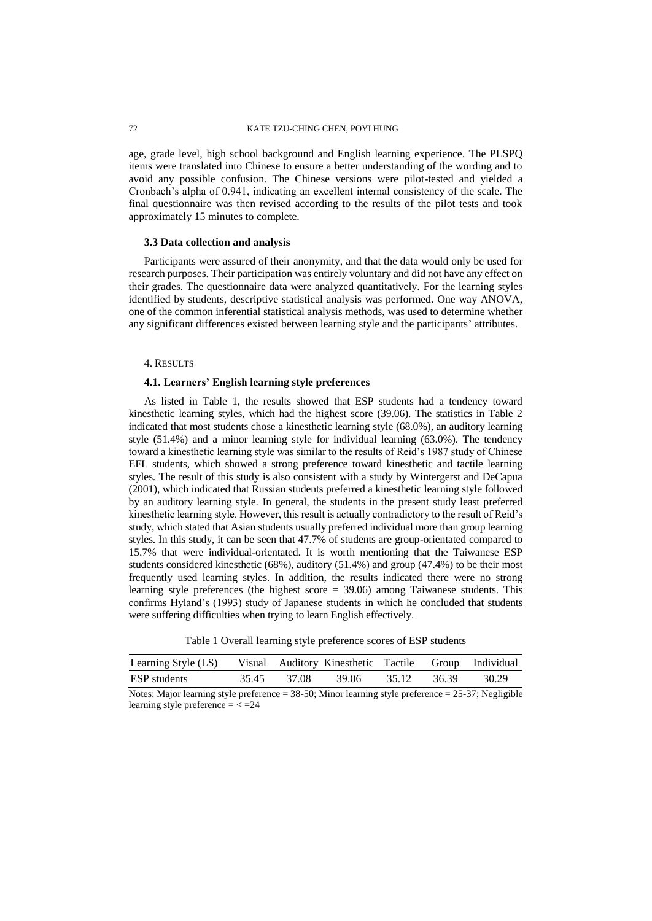age, grade level, high school background and English learning experience. The PLSPQ items were translated into Chinese to ensure a better understanding of the wording and to avoid any possible confusion. The Chinese versions were pilot-tested and yielded a Cronbach's alpha of 0.941, indicating an excellent internal consistency of the scale. The final questionnaire was then revised according to the results of the pilot tests and took approximately 15 minutes to complete.

#### **3.3 Data collection and analysis**

Participants were assured of their anonymity, and that the data would only be used for research purposes. Their participation was entirely voluntary and did not have any effect on their grades. The questionnaire data were analyzed quantitatively. For the learning styles identified by students, descriptive statistical analysis was performed. One way ANOVA, one of the common inferential statistical analysis methods, was used to determine whether any significant differences existed between learning style and the participants' attributes.

#### 4. RESULTS

# **4.1. Learners' English learning style preferences**

As listed in Table 1, the results showed that ESP students had a tendency toward kinesthetic learning styles, which had the highest score (39.06). The statistics in Table 2 indicated that most students chose a kinesthetic learning style (68.0%), an auditory learning style (51.4%) and a minor learning style for individual learning (63.0%). The tendency toward a kinesthetic learning style was similar to the results of Reid's 1987 study of Chinese EFL students, which showed a strong preference toward kinesthetic and tactile learning styles. The result of this study is also consistent with a study by Wintergerst and DeCapua (2001), which indicated that Russian students preferred a kinesthetic learning style followed by an auditory learning style. In general, the students in the present study least preferred kinesthetic learning style. However, this result is actually contradictory to the result of Reid's study, which stated that Asian students usually preferred individual more than group learning styles. In this study, it can be seen that 47.7% of students are group-orientated compared to 15.7% that were individual-orientated. It is worth mentioning that the Taiwanese ESP students considered kinesthetic (68%), auditory (51.4%) and group (47.4%) to be their most frequently used learning styles. In addition, the results indicated there were no strong learning style preferences (the highest score = 39.06) among Taiwanese students. This confirms Hyland's (1993) study of Japanese students in which he concluded that students were suffering difficulties when trying to learn English effectively.

Table 1 Overall learning style preference scores of ESP students

| Learning Style (LS) Visual Auditory Kinesthetic Tactile Group Individual |             |       |             |       |
|--------------------------------------------------------------------------|-------------|-------|-------------|-------|
| ESP students                                                             | 35.45 37.08 | 39.06 | 35.12 36.39 | 30.29 |

Notes: Major learning style preference = 38-50; Minor learning style preference = 25-37; Negligible learning style preference  $=$   $<$   $=$   $24$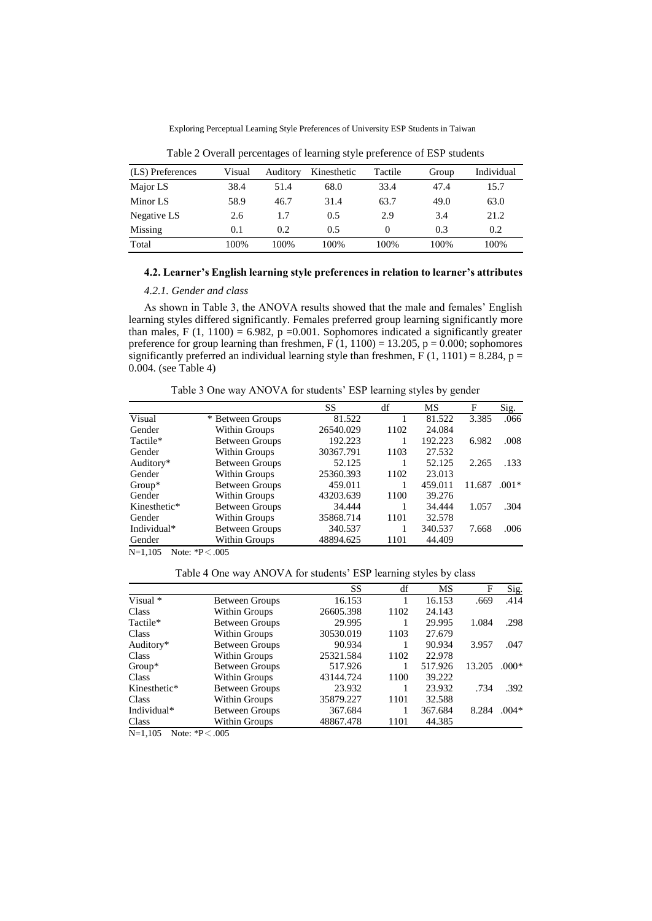Exploring Perceptual Learning Style Preferences of University ESP Students in Taiwan

| (LS) Preferences | Visual | Auditory | Kinesthetic | Tactile  | Group | Individual |
|------------------|--------|----------|-------------|----------|-------|------------|
| Major LS         | 38.4   | 51.4     | 68.0        | 33.4     | 47.4  | 15.7       |
| Minor LS         | 58.9   | 46.7     | 31.4        | 63.7     | 49.0  | 63.0       |
| Negative LS      | 2.6    | 1.7      | 0.5         | 2.9      | 3.4   | 21.2       |
| Missing          | 0.1    | 0.2      | 0.5         | $\theta$ | 0.3   | 0.2        |
| Total            | 100%   | 100%     | 100%        | 100%     | 100%  | 100%       |

Table 2 Overall percentages of learning style preference of ESP students

# **4.2. Learner's English learning style preferences in relation to learner's attributes**

## *4.2.1. Gender and class*

As shown in Table 3, the ANOVA results showed that the male and females' English learning styles differed significantly. Females preferred group learning significantly more than males, F (1, 1100) = 6.982, p = 0.001. Sophomores indicated a significantly greater preference for group learning than freshmen,  $F(1, 1100) = 13.205$ ,  $p = 0.000$ ; sophomores significantly preferred an individual learning style than freshmen,  $F(1, 1101) = 8.284$ ,  $p =$ 0.004. (see Table 4)

Table 3 One way ANOVA for students' ESP learning styles by gender

|              |                       | SS        | df   | MS      | F      | Sig.    |
|--------------|-----------------------|-----------|------|---------|--------|---------|
| Visual       | * Between Groups      | 81.522    |      | 81.522  | 3.385  | .066    |
| Gender       | Within Groups         | 26540.029 | 1102 | 24.084  |        |         |
| Tactile*     | <b>Between Groups</b> | 192.223   |      | 192.223 | 6.982  | .008    |
| Gender       | Within Groups         | 30367.791 | 1103 | 27.532  |        |         |
| Auditory*    | <b>Between Groups</b> | 52.125    |      | 52.125  | 2.265  | .133    |
| Gender       | Within Groups         | 25360.393 | 1102 | 23.013  |        |         |
| $Group^*$    | <b>Between Groups</b> | 459.011   |      | 459.011 | 11.687 | $.001*$ |
| Gender       | Within Groups         | 43203.639 | 1100 | 39.276  |        |         |
| Kinesthetic* | <b>Between Groups</b> | 34.444    |      | 34.444  | 1.057  | .304    |
| Gender       | Within Groups         | 35868.714 | 1101 | 32.578  |        |         |
| Individual*  | <b>Between Groups</b> | 340.537   |      | 340.537 | 7.668  | .006    |
| Gender       | Within Groups         | 48894.625 | 1101 | 44.409  |        |         |

 $N=1,105$  Note: \*P < .005

Table 4 One way ANOVA for students' ESP learning styles by class

|              |                       | SS        | df   | MS      | F      | Sig.    |
|--------------|-----------------------|-----------|------|---------|--------|---------|
| Visual *     | Between Groups        | 16.153    |      | 16.153  | .669   | .414    |
| Class        | Within Groups         | 26605.398 | 1102 | 24.143  |        |         |
| Tactile*     | <b>Between Groups</b> | 29.995    |      | 29.995  | 1.084  | .298    |
| Class        | Within Groups         | 30530.019 | 1103 | 27.679  |        |         |
| Auditory*    | <b>Between Groups</b> | 90.934    |      | 90.934  | 3.957  | .047    |
| Class        | Within Groups         | 25321.584 | 1102 | 22.978  |        |         |
| $Group^*$    | <b>Between Groups</b> | 517.926   |      | 517.926 | 13.205 | $.000*$ |
| Class        | Within Groups         | 43144.724 | 1100 | 39.222  |        |         |
| Kinesthetic* | <b>Between Groups</b> | 23.932    |      | 23.932  | .734   | .392    |
| Class        | Within Groups         | 35879.227 | 1101 | 32.588  |        |         |
| Individual*  | <b>Between Groups</b> | 367.684   |      | 367.684 | 8.284  | $.004*$ |
| Class        | Within Groups         | 48867.478 | 1101 | 44.385  |        |         |

N=1,105 Note: \*P<.005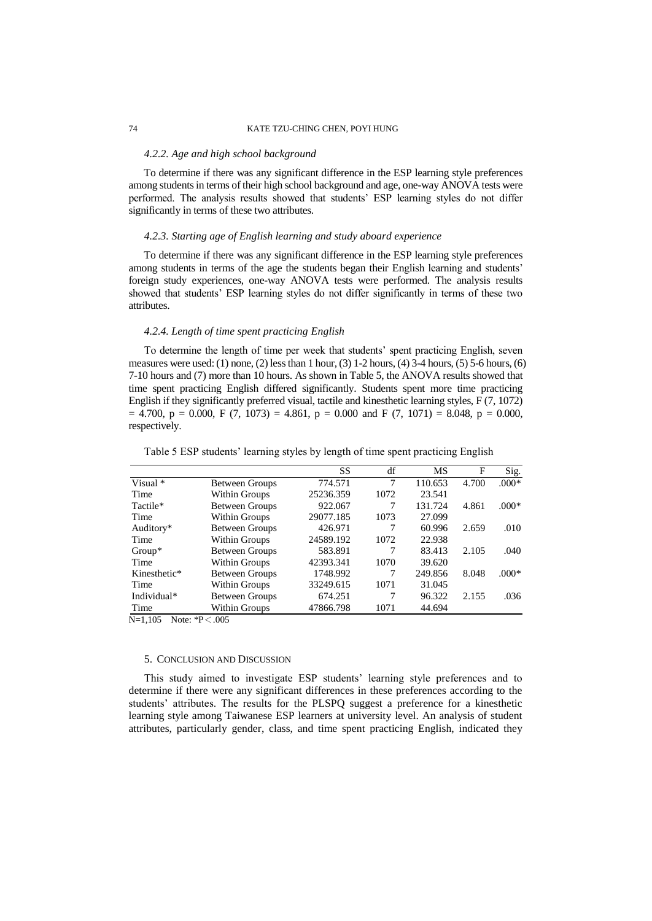# 74 KATE TZU-CHING CHEN, POYI HUNG

#### *4.2.2. Age and high school background*

To determine if there was any significant difference in the ESP learning style preferences among students in terms of their high school background and age, one-way ANOVA tests were performed. The analysis results showed that students' ESP learning styles do not differ significantly in terms of these two attributes.

# *4.2.3. Starting age of English learning and study aboard experience*

To determine if there was any significant difference in the ESP learning style preferences among students in terms of the age the students began their English learning and students' foreign study experiences, one-way ANOVA tests were performed. The analysis results showed that students' ESP learning styles do not differ significantly in terms of these two attributes.

# *4.2.4. Length of time spent practicing English*

To determine the length of time per week that students' spent practicing English, seven measures were used: (1) none, (2) less than 1 hour, (3)  $1-2$  hours, (4)  $3-4$  hours, (5)  $5-6$  hours, (6) 7-10 hours and (7) more than 10 hours. As shown in Table 5, the ANOVA results showed that time spent practicing English differed significantly. Students spent more time practicing English if they significantly preferred visual, tactile and kinesthetic learning styles, F (7, 1072)  $= 4.700$ ,  $p = 0.000$ ,  $F (7, 1073) = 4.861$ ,  $p = 0.000$  and  $F (7, 1071) = 8.048$ ,  $p = 0.000$ , respectively.

|                   |                            | SS        | df   | MS      | F     | Sig.    |
|-------------------|----------------------------|-----------|------|---------|-------|---------|
| Visual *          | Between Groups             | 774.571   | 7    | 110.653 | 4.700 | $.000*$ |
| Time              | Within Groups              | 25236.359 | 1072 | 23.541  |       |         |
| Tactile*          | <b>Between Groups</b>      | 922.067   | 7    | 131.724 | 4.861 | $.000*$ |
| Time              | Within Groups              | 29077.185 | 1073 | 27.099  |       |         |
| Auditory*         | Between Groups             | 426.971   | 7    | 60.996  | 2.659 | .010    |
| Time              | Within Groups              | 24589.192 | 1072 | 22.938  |       |         |
| $Group^*$         | Between Groups             | 583.891   | 7    | 83.413  | 2.105 | .040    |
| Time              | Within Groups              | 42393.341 | 1070 | 39.620  |       |         |
| Kinesthetic*      | Between Groups             | 1748.992  | 7    | 249.856 | 8.048 | $.000*$ |
| Time              | Within Groups              | 33249.615 | 1071 | 31.045  |       |         |
| Individual*       | Between Groups             | 674.251   | 7    | 96.322  | 2.155 | .036    |
| Time              | Within Groups              | 47866.798 | 1071 | 44.694  |       |         |
| <b>NT</b> 1 1 0 F | $N_{obs}$ , $*D \times OQ$ |           |      |         |       |         |

Table 5 ESP students' learning styles by length of time spent practicing English

N=1,105 Note: \*P<.005

#### 5. CONCLUSION AND DISCUSSION

This study aimed to investigate ESP students' learning style preferences and to determine if there were any significant differences in these preferences according to the students' attributes. The results for the PLSPQ suggest a preference for a kinesthetic learning style among Taiwanese ESP learners at university level. An analysis of student attributes, particularly gender, class, and time spent practicing English, indicated they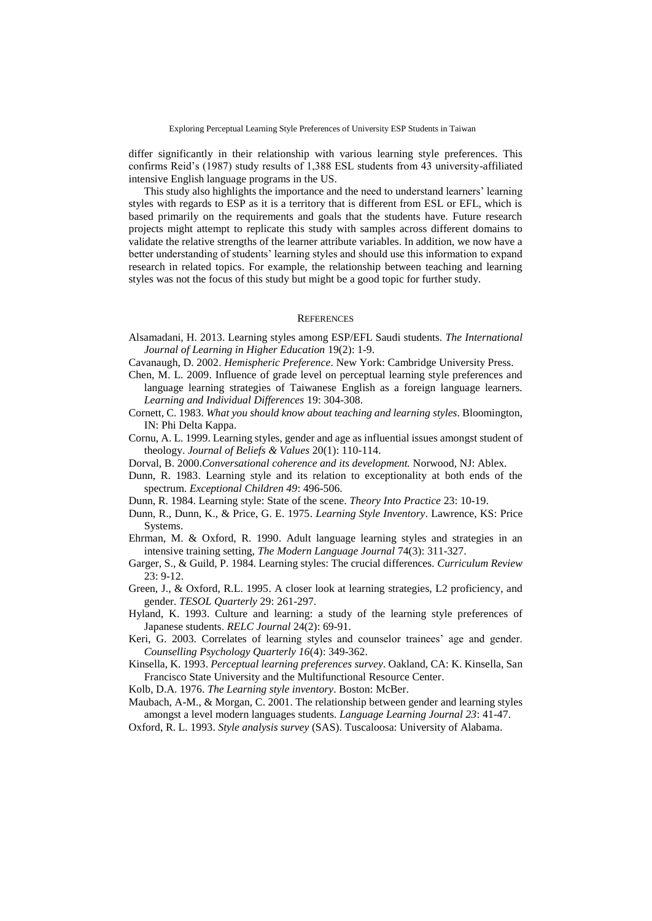differ significantly in their relationship with various learning style preferences. This confirms Reid's (1987) study results of 1,388 ESL students from 43 university-affiliated intensive English language programs in the US.

This study also highlights the importance and the need to understand learners' learning styles with regards to ESP as it is a territory that is different from ESL or EFL, which is based primarily on the requirements and goals that the students have. Future research projects might attempt to replicate this study with samples across different domains to validate the relative strengths of the learner attribute variables. In addition, we now have a better understanding of students' learning styles and should use this information to expand research in related topics. For example, the relationship between teaching and learning styles was not the focus of this study but might be a good topic for further study.

#### **REFERENCES**

- Alsamadani, H. 2013. Learning styles among ESP/EFL Saudi students. *The International Journal of Learning in Higher Education* 19(2): 1-9.
- Cavanaugh, D. 2002. *Hemispheric Preference*. New York: Cambridge University Press.
- Chen, M. L. 2009. Influence of grade level on perceptual learning style preferences and language learning strategies of Taiwanese English as a foreign language learners. *Learning and Individual Differences* 19: 304-308.
- Cornett, C. 1983. *What you should know about teaching and learning styles*. Bloomington, IN: Phi Delta Kappa.
- Cornu, A. L. 1999. Learning styles, gender and age as influential issues amongst student of theology. *Journal of Beliefs & Values* 20(1): 110-114.
- Dorval, B. 2000.*Conversational coherence and its development.* Norwood, NJ: Ablex.
- Dunn, R. 1983. Learning style and its relation to exceptionality at both ends of the spectrum. *Exceptional Children 49*: 496-506.
- Dunn, R. 1984. Learning style: State of the scene. *Theory Into Practice* 23: 10-19.
- Dunn, R., Dunn, K., & Price, G. E. 1975. *Learning Style Inventory*. Lawrence, KS: Price Systems.
- Ehrman, M. & Oxford, R. 1990. Adult language learning styles and strategies in an intensive training setting, *The Modern Language Journal* 74(3): 311-327.
- Garger, S., & Guild, P. 1984. Learning styles: The crucial differences. *Curriculum Review* 23: 9-12.
- Green, J., & Oxford, R.L. 1995. A closer look at learning strategies, L2 proficiency, and gender. *TESOL Quarterly* 29: 261-297.
- Hyland, K. 1993. Culture and learning: a study of the learning style preferences of Japanese students. *RELC Journal* 24(2): 69-91.
- Keri, G. 2003. Correlates of learning styles and counselor trainees' age and gender. *Counselling Psychology Quarterly 16*(4): 349-362.
- Kinsella, K. 1993. *Perceptual learning preferences survey*. Oakland, CA: K. Kinsella, San Francisco State University and the Multifunctional Resource Center.
- Kolb, D.A. 1976. *The Learning style inventory*. Boston: McBer.
- Maubach, A-M., & Morgan, C. 2001. The relationship between gender and learning styles amongst a level modern languages students. *Language Learning Journal 23*: 41-47.
- Oxford, R. L. 1993. *Style analysis survey* (SAS). Tuscaloosa: University of Alabama.